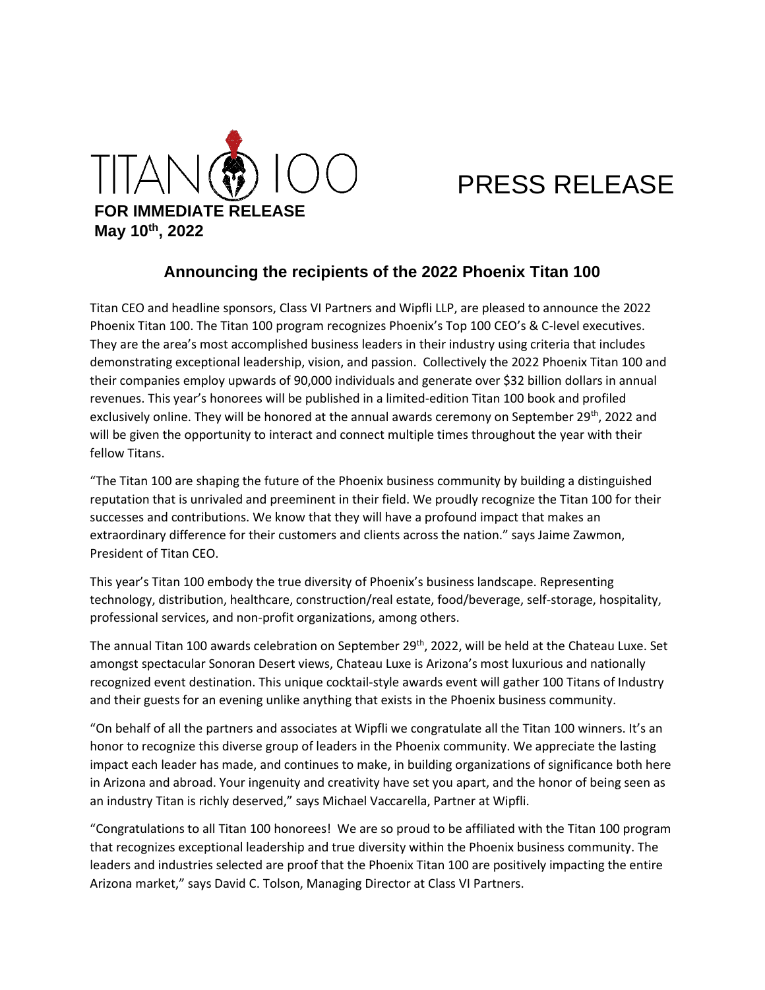

# PRESS RELEASE

## **Announcing the recipients of the 2022 Phoenix Titan 100**

Titan CEO and headline sponsors, Class VI Partners and Wipfli LLP, are pleased to announce the 2022 Phoenix Titan 100. The Titan 100 program recognizes Phoenix's Top 100 CEO's & C-level executives. They are the area's most accomplished business leaders in their industry using criteria that includes demonstrating exceptional leadership, vision, and passion. Collectively the 2022 Phoenix Titan 100 and their companies employ upwards of 90,000 individuals and generate over \$32 billion dollars in annual revenues. This year's honorees will be published in a limited-edition Titan 100 book and profiled exclusively online. They will be honored at the annual awards ceremony on September  $29^{th}$ , 2022 and will be given the opportunity to interact and connect multiple times throughout the year with their fellow Titans.

"The Titan 100 are shaping the future of the Phoenix business community by building a distinguished reputation that is unrivaled and preeminent in their field. We proudly recognize the Titan 100 for their successes and contributions. We know that they will have a profound impact that makes an extraordinary difference for their customers and clients across the nation." says Jaime Zawmon, President of Titan CEO.

This year's Titan 100 embody the true diversity of Phoenix's business landscape. Representing technology, distribution, healthcare, construction/real estate, food/beverage, self-storage, hospitality, professional services, and non-profit organizations, among others.

The annual Titan 100 awards celebration on September 29<sup>th</sup>, 2022, will be held at the Chateau Luxe. Set amongst spectacular Sonoran Desert views, Chateau Luxe is Arizona's most luxurious and nationally recognized event destination. This unique cocktail-style awards event will gather 100 Titans of Industry and their guests for an evening unlike anything that exists in the Phoenix business community.

"On behalf of all the partners and associates at Wipfli we congratulate all the Titan 100 winners. It's an honor to recognize this diverse group of leaders in the Phoenix community. We appreciate the lasting impact each leader has made, and continues to make, in building organizations of significance both here in Arizona and abroad. Your ingenuity and creativity have set you apart, and the honor of being seen as an industry Titan is richly deserved," says Michael Vaccarella, Partner at Wipfli.

"Congratulations to all Titan 100 honorees! We are so proud to be affiliated with the Titan 100 program that recognizes exceptional leadership and true diversity within the Phoenix business community. The leaders and industries selected are proof that the Phoenix Titan 100 are positively impacting the entire Arizona market," says David C. Tolson, Managing Director at Class VI Partners.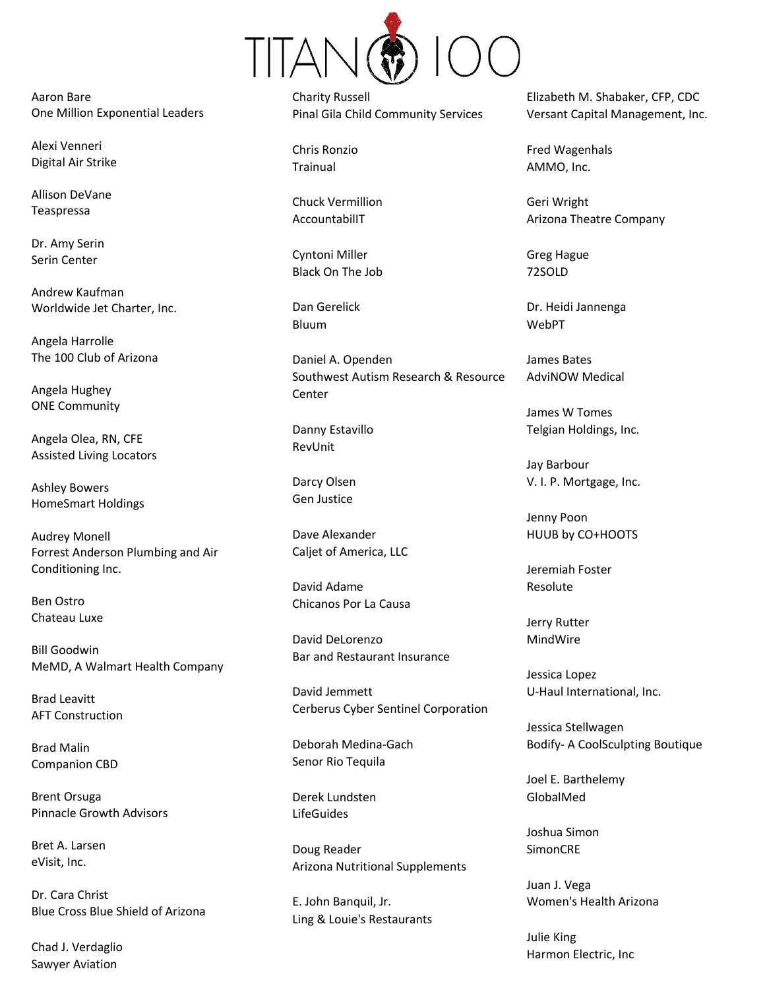

Aaron Bare One Million Exponential Leaders

Alexi Venneri Digital Air Strike

Allison DeVane Teaspressa

Dr. Amy Serin Serin Center

Andrew Kaufman Worldwide Jet Charter, Inc.

Angela Harrolle The 100 Club of Arizona

Angela Hughey ONE Community

Angela Olea, RN, CFE Assisted Living Locators

Ashley Bowers HomeSmart Holdings

Audrey Monell Forrest Anderson Plumbing and Air Conditioning Inc.

Ben Ostro Chateau Luxe

Bill Goodwin MeMD, A Walmart Health Company

Brad Leavitt AFT Construction

Brad Malin Companion CBD

Brent Orsuga Pinnacle Growth Advisors

Bret A. Larsen eVisit, Inc.

Dr. Cara Christ Blue Cross Blue Shield of Arizona

Chad J. Verdaglio Sawyer Aviation

Charity Russell Pinal Gila Child Community Services

Chris Ronzio Trainual

Chuck Vermillion AccountabilIT

Cyntoni Miller Black On The Job

Dan Gerelick Bluum

Daniel A. Openden Southwest Autism Research & Resource Center

Danny Estavillo RevUnit

Darcy Olsen Gen Justice

Dave Alexander Caljet of America, LLC

David Adame Chicanos Por La Causa

David DeLorenzo Bar and Restaurant Insurance

David Jemmett Cerberus Cyber Sentinel Corporation

Deborah Medina-Gach Senor Rio Tequila

Derek Lundsten LifeGuides

Doug Reader Arizona Nutritional Supplements

E. John Banquil, Jr. Ling & Louie's Restaurants Elizabeth M. Shabaker, CFP, CDC Versant Capital Management, Inc.

Fred Wagenhals AMMO, Inc.

Geri Wright Arizona Theatre Company

Greg Hague 72SOLD

Dr. Heidi Jannenga WebPT

James Bates AdviNOW Medical

James W Tomes Telgian Holdings, Inc.

Jay Barbour V. I. P. Mortgage, Inc.

Jenny Poon HUUB by CO+HOOTS

Jeremiah Foster Resolute

Jerry Rutter MindWire

Jessica Lopez U-Haul International, Inc.

Jessica Stellwagen Bodify- A CoolSculpting Boutique

Joel E. Barthelemy GlobalMed

Joshua Simon SimonCRE

Juan J. Vega Women's Health Arizona

Julie King Harmon Electric, Inc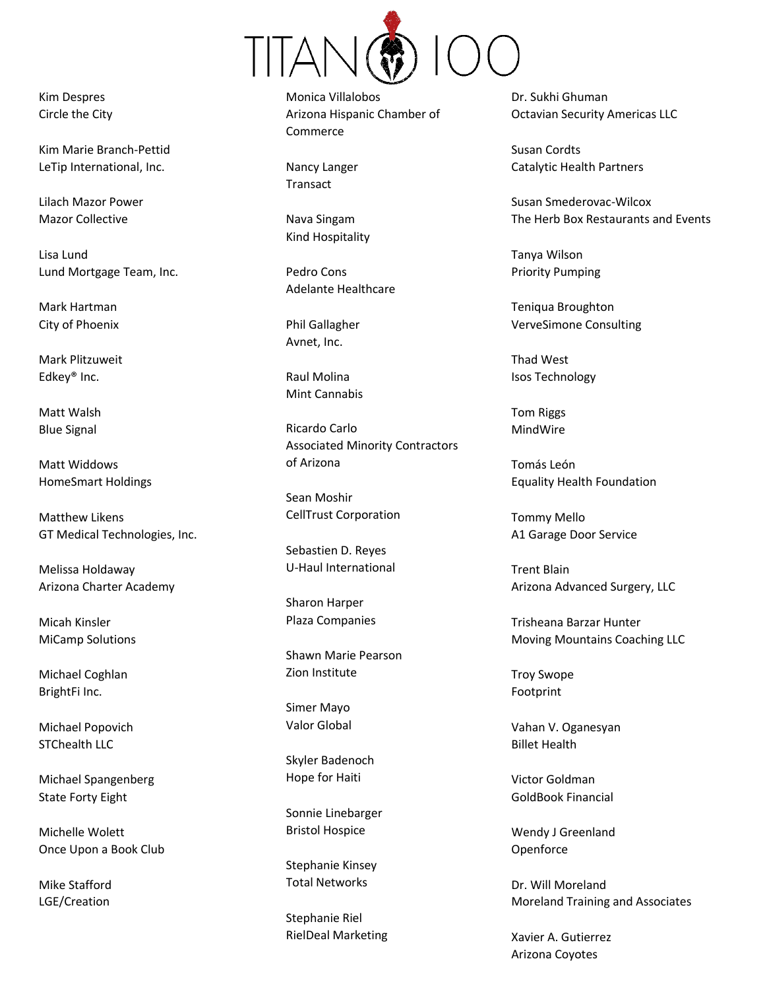

Kim Despres Circle the City

Kim Marie Branch-Pettid LeTip International, Inc.

Lilach Mazor Power Mazor Collective

Lisa Lund Lund Mortgage Team, Inc.

Mark Hartman City of Phoenix

Mark Plitzuweit Edkey® Inc.

Matt Walsh Blue Signal

Matt Widdows HomeSmart Holdings

Matthew Likens GT Medical Technologies, Inc.

Melissa Holdaway Arizona Charter Academy

Micah Kinsler MiCamp Solutions

Michael Coghlan BrightFi Inc.

Michael Popovich STChealth LLC

Michael Spangenberg State Forty Eight

Michelle Wolett Once Upon a Book Club

Mike Stafford LGE/Creation

Monica Villalobos Arizona Hispanic Chamber of Commerce

Nancy Langer Transact

Nava Singam Kind Hospitality

Pedro Cons Adelante Healthcare

Phil Gallagher Avnet, Inc.

Raul Molina Mint Cannabis

Ricardo Carlo Associated Minority Contractors of Arizona

Sean Moshir CellTrust Corporation

Sebastien D. Reyes U-Haul International

Sharon Harper Plaza Companies

Shawn Marie Pearson Zion Institute

Simer Mayo Valor Global

Skyler Badenoch Hope for Haiti

Sonnie Linebarger Bristol Hospice

Stephanie Kinsey Total Networks

Stephanie Riel RielDeal Marketing Dr. Sukhi Ghuman Octavian Security Americas LLC

Susan Cordts Catalytic Health Partners

Susan Smederovac-Wilcox The Herb Box Restaurants and Events

Tanya Wilson Priority Pumping

Teniqua Broughton VerveSimone Consulting

Thad West Isos Technology

Tom Riggs MindWire

Tomás León Equality Health Foundation

Tommy Mello A1 Garage Door Service

Trent Blain Arizona Advanced Surgery, LLC

Trisheana Barzar Hunter Moving Mountains Coaching LLC

Troy Swope Footprint

Vahan V. Oganesyan Billet Health

Victor Goldman GoldBook Financial

Wendy J Greenland **Openforce** 

Dr. Will Moreland Moreland Training and Associates

Xavier A. Gutierrez Arizona Coyotes